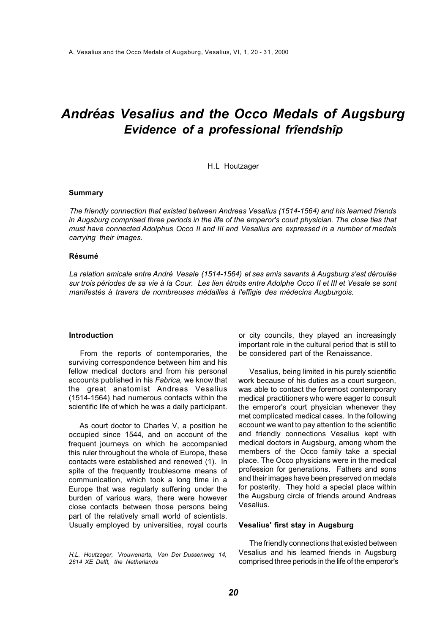# *Andréas Vesalius and the Occo Medals of Augsburg Evidence of a professional frîendshîp*

#### H.L Houtzager

# **Summary**

*The friendly connection that existed between Andreas Vesalius (1514-1564) and his learned friends in Augsburg comprised three periods in the life of the emperor's court physician. The close ties that must have connected Adolphus Occo II and III and Vesalius are expressed in a number of medals carrying their images.* 

#### **Résumé**

*La relation amicale entre André Vesale (1514-1564) et ses amis savants à Augsburg s'est déroulée sur trois périodes de sa vie à la Cour. Les lien étroits entre Adolphe Occo II et III et Vesale se sont manifestés à travers de nombreuses médailles à l'effigie des médecins Augburgois.* 

#### **Introduction**

From the reports of contemporaries, the surviving correspondence between him and his fellow medical doctors and from his personal accounts published in his *Fabrica,* we know that the great anatomist Andreas Vesalius (1514-1564) had numerous contacts within the scientific life of which he was a daily participant.

As court doctor to Charles V, a position he occupied since 1544, and on account of the frequent journeys on which he accompanied this ruler throughout the whole of Europe, these contacts were established and renewed (1). In spite of the frequently troublesome means of communication, which took a long time in a Europe that was regularly suffering under the burden of various wars, there were however close contacts between those persons being part of the relatively small world of scientists. Usually employed by universities, royal courts

*H.L. Houtzager, Vrouwenarts, Van Der Dussenweg 14, 2614 XE Delft, the Netherlands* 

or city councils, they played an increasingly important role in the cultural period that is still to be considered part of the Renaissance.

Vesalius, being limited in his purely scientific work because of his duties as a court surgeon, was able to contact the foremost contemporary medical practitioners who were eager to consult the emperor's court physician whenever they met complicated medical cases. In the following account we want to pay attention to the scientific and friendly connections Vesalius kept with medical doctors in Augsburg, among whom the members of the Occo family take a special place. The Occo physicians were in the medical profession for generations. Fathers and sons and their images have been preserved on medals for posterity. They hold a special place within the Augsburg circle of friends around Andreas Vesalius.

# **Vesalius' first stay in Augsburg**

The friendly connections that existed between Vesalius and his learned friends in Augsburg comprised three periods in the life of the emperor's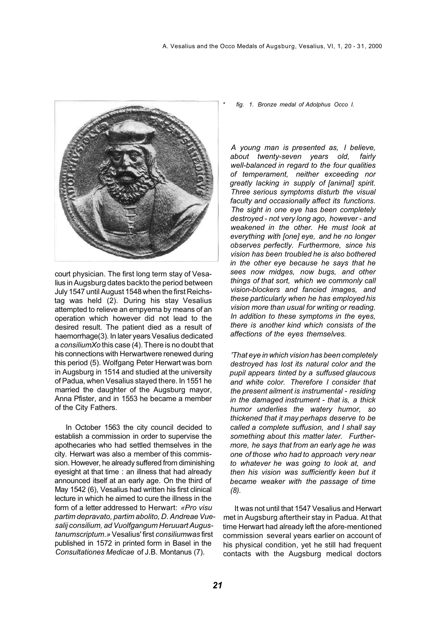

court physician. The first long term stay of Vesalius in Augsburg dates backto the period between July 1547 until August 1548 when the first Reichstag was held (2). During his stay Vesalius attempted to relieve an empyema by means of an operation which however did not lead to the desired result. The patient died as a result of haemorrhage(3). In later years Vesalius dedicated a *consiliumXo* this case (4). There is no doubt that his connections with Herwartwere renewed during this period (5). Wolfgang Peter Herwart was born in Augsburg in 1514 and studied at the university of Padua, when Vesalius stayed there. In 1551 he married the daughter of the Augsburg mayor, Anna Pfister, and in 1553 he became a member of the City Fathers.

In October 1563 the city council decided to establish a commission in order to supervise the apothecaries who had settled themselves in the city. Herwart was also a member of this commission. However, he already suffered from diminishing eyesight at that time : an illness that had already announced itself at an early age. On the third of May 1542 (6), Vesalius had written his first clinical lecture in which he aimed to cure the illness in the form of a letter addressed to Herwart: *«Pro visu partim depravato, partim abolito, D. Andreae Vuesalij consilium, ad Vuolfgangum Heruuart Augustanumscriptum.»* Vesalius' first *consiliumwas* first published in 1572 in printed form in Basel in the *Consultationes Medicae* of J.B. Montanus (7).

\* *fig. 1. Bronze medal of Adolphus Occo I.* 

*A young man is presented as, I believe, about twenty-seven years old, fairly well-balanced in regard to the four qualities of temperament, neither exceeding nor greatly lacking in supply of [animal] spirit. Three serious symptoms disturb the visual faculty and occasionally affect its functions. The sight in one eye has been completely destroyed - not very long ago, however - and weakened in the other. He must look at everything with [one] eye, and he no longer observes perfectly. Furthermore, since his vision has been troubled he is also bothered in the other eye because he says that he sees now midges, now bugs, and other things of that sort, which we commonly call vision-blockers and fancied images, and these particularly when he has employed his vision more than usual for writing or reading. In addition to these symptoms in the eyes, there is another kind which consists of the affections of the eyes themselves.* 

*'That eye in which vision has been completely destroyed has lost its natural color and the pupil appears tinted by a suffused glaucous and white color. Therefore I consider that the present ailment is instrumental - residing in the damaged instrument - that is, a thick humor underlies the watery humor, so thickened that it may perhaps deserve to be called a complete suffusion, and I shall say something about this matter later. Furthermore, he says that from an early age he was one of those who had to approach very near to whatever he was going to look at, and then his vision was sufficiently keen but it became weaker with the passage of time (8).*

It was not until that 1547 Vesalius and Herwart met in Augsburg aftertheir stay in Padua. At that time Herwart had already left the afore-mentioned commission several years earlier on account of his physical condition, yet he still had frequent contacts with the Augsburg medical doctors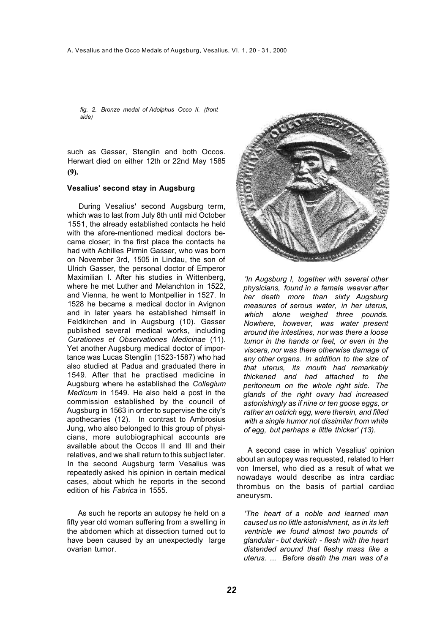*fig. 2. Bronze medal of Adolphus Occo II. (front side)*

such as Gasser, Stenglin and both Occos. Herwart died on either 12th or 22nd May 1585 **(9).**

#### **Vesalius' second stay in Augsburg**

During Vesalius' second Augsburg term, which was to last from July 8th until mid October 1551, the already established contacts he held with the afore-mentioned medical doctors became closer; in the first place the contacts he had with Achilles Pirmin Gasser, who was born on November 3rd, 1505 in Lindau, the son of Ulrich Gasser, the personal doctor of Emperor Maximilian I. After his studies in Wittenberg, where he met Luther and Melanchton in 1522. and Vienna, he went to Montpellier in 1527. In 1528 he became a medical doctor in Avignon and in later years he established himself in Feldkirchen and in Augsburg (10). Gasser published several medical works, including *Curationes et Observationes Medicinae* (11). Yet another Augsburg medical doctor of importance was Lucas Stenglin (1523-1587) who had also studied at Padua and graduated there in 1549. After that he practised medicine in Augsburg where he established the *Collegium Medicum* in 1549. He also held a post in the commission established by the council of Augsburg in 1563 in order to supervise the city's apothecaries (12). In contrast to Ambrosius Jung, who also belonged to this group of physicians, more autobiographical accounts are available about the Occos II and III and their relatives, and we shall return to this subject later. In the second Augsburg term Vesalius was repeatedly asked his opinion in certain medical cases, about which he reports in the second edition of his *Fabrica* in 1555.

As such he reports an autopsy he held on a fifty year old woman suffering from a swelling in the abdomen which at dissection turned out to have been caused by an unexpectedly large ovarian tumor.



*'In Augsburg I, together with several other physicians, found in a female weaver after her death more than sixty Augsburg measures of serous water, in her uterus, which alone weighed three pounds. Nowhere, however, was water present around the intestines, nor was there a loose tumor in the hands or feet, or even in the viscera, nor was there otherwise damage of any other organs. In addition to the size of that uterus, its mouth had remarkably thickened and had attached to the peritoneum on the whole right side. The glands of the right ovary had increased astonishingly as if nine or ten goose eggs, or rather an ostrich egg, were therein, and filled with a single humor not dissimilar from white of egg, but perhaps a little thicker' (13).* 

A second case in which Vesalius' opinion about an autopsy was requested, related to Herr von Imersel, who died as a result of what we nowadays would describe as intra cardiac thrombus on the basis of partial cardiac aneurysm.

*'The heart of a noble and learned man caused us no little astonishment, as in its left ventricle we found almost two pounds of glandular - but darkish - flesh with the heart distended around that fleshy mass like a uterus. ... Before death the man was of a*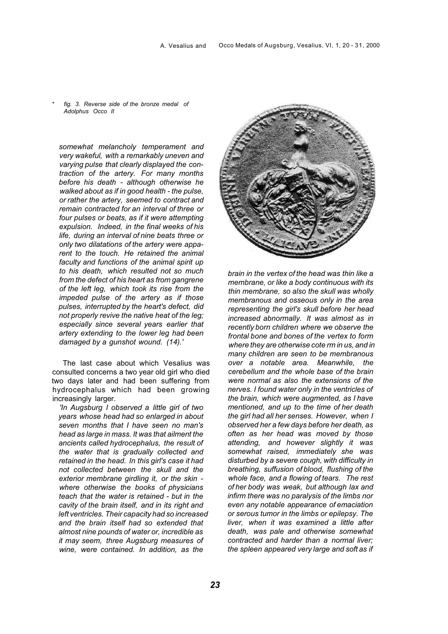\* *fig. 3. Reverse side of the bronze medal of Adolphus Occo II* 

*somewhat melancholy temperament and very wakeful, with a remarkably uneven and varying pulse that clearly displayed the contraction of the artery. For many months before his death - although otherwise he walked about as if in good health - the pulse, or rather the artery, seemed to contract and remain contracted for an interval of three or four pulses or beats, as if it were attempting expulsion. Indeed, in the final weeks of his life, during an interval of nine beats three or only two dilatations of the artery were apparent to the touch. He retained the animal faculty and functions of the animal spirit up to his death, which resulted not so much from the defect of his heart as from gangrene of the left leg, which took its rise from the impeded pulse of the artery as if those pulses, interrupted by the heart's defect, did not properly revive the native heat of the leg; especially since several years earlier that artery extending to the lower leg had been damaged by a gunshot wound. (14).'* 

The last case about which Vesalius was consulted concerns a two year old girl who died two days later and had been suffering from hydrocephalus which had been growing increasingly larger.

*'In Augsburg I observed a little girl of two years whose head had so enlarged in about seven months that I have seen no man's head as large in mass. It was that ailment the ancients called hydrocephalus, the result of the water that is gradually collected and retained in the head. In this girl's case it had not collected between the skull and the exterior membrane girdling it, or the skin where otherwise the books of physicians teach that the water is retained - but in the cavity of the brain itself, and in its right and left ventricles. Their capacity had so increased and the brain itself had so extended that almost nine pounds of water or, incredible as it may seem, three Augsburg measures of wine, were contained. In addition, as the* 



*brain in the vertex of the head was thin like a membrane, or like a body continuous with its thin membrane, so also the skull was wholly membranous and osseous only in the area representing the girl's skull before her head increased abnormally. It was almost as in recently born children where we observe the frontal bone and bones of the vertex to form where they are otherwise cote rm in us, and in many children are seen to be membranous over a notable area. Meanwhile, the cerebellum and the whole base of the brain were normal as also the extensions of the nerves. I found water only in the ventricles of the brain, which were augmented, as I have mentioned, and up to the time of her death the girl had all her senses. However, when I observed her a few days before her death, as often as her head was moved by those attending, and however slightly it was somewhat raised, immediately she was disturbed by a severe cough, with difficulty in breathing, suffusion of blood, flushing of the whole face, and a flowing of tears. The rest of her body was weak, but although lax and infirm there was no paralysis of the limbs nor even any notable appearance of emaciation or serous tumor in the limbs or epilepsy. The liver, when it was examined a little after death, was pale and otherwise somewhat contracted and harder than a normal liver; the spleen appeared very large and soft as if*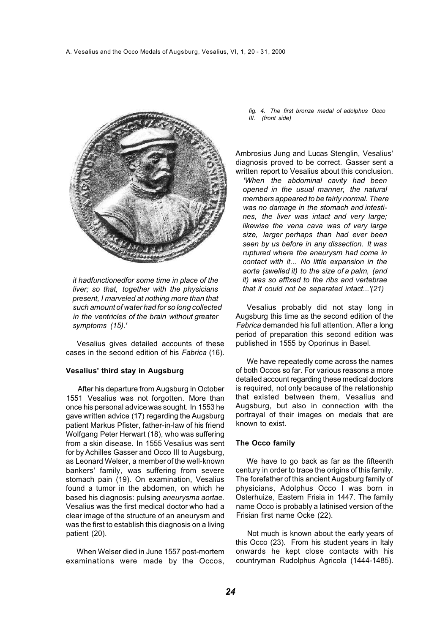

*it hadfunctionedfor some time in place of the liver; so that, together with the physicians present, I marveled at nothing more than that such amount of water had for so long collected in the ventricles of the brain without greater symptoms (15).'* 

Vesalius gives detailed accounts of these cases in the second edition of his *Fabrica* (16).

#### **Vesalius' third stay in Augsburg**

After his departure from Augsburg in October 1551 Vesalius was not forgotten. More than once his personal advice was sought. In 1553 he gave written advice (17) regarding the Augsburg patient Markus Pfister, father-in-law of his friend Wolfgang Peter Herwart (18), who was suffering from a skin disease. In 1555 Vesalius was sent for by Achilles Gasser and Occo III to Augsburg, as Leonard Welser, a member of the well-known bankers' family, was suffering from severe stomach pain (19). On examination, Vesalius found a tumor in the abdomen, on which he based his diagnosis: pulsing *aneurysma aortae.*  Vesalius was the first medical doctor who had a clear image of the structure of an aneurysm and was the first to establish this diagnosis on a living patient (20).

When Welser died in June 1557 post-mortem examinations were made by the Occos,

*fig. 4. The first bronze medal of adolphus Occo III. (front side)* 

Ambrosius Jung and Lucas Stenglin, Vesalius' diagnosis proved to be correct. Gasser sent a written report to Vesalius about this conclusion.

*'When the abdominal cavity had been opened in the usual manner, the natural members appeared to be fairly normal. There was no damage in the stomach and intestines, the liver was intact and very large; likewise the vena cava was of very large size, larger perhaps than had ever been seen by us before in any dissection. It was ruptured where the aneurysm had come in contact with it... No little expansion in the aorta (swelled it) to the size of a palm, (and it) was so affixed to the ribs and vertebrae that it could not be separated intact...'(21)* 

Vesalius probably did not stay long in Augsburg this time as the second edition of the *Fabrica* demanded his full attention. After a long period of preparation this second edition was published in 1555 by Oporinus in Basel.

We have repeatedly come across the names of both Occos so far. For various reasons a more detailed account regarding these medical doctors is required, not only because of the relationship that existed between them, Vesalius and Augsburg, but also in connection with the portrayal of their images on medals that are known to exist.

#### **The Occo family**

We have to go back as far as the fifteenth century in order to trace the origins of this family. The forefather of this ancient Augsburg family of physicians, Adolphus Occo I was born in Osterhuize, Eastern Frisia in 1447. The family name Occo is probably a latinised version of the Frisian first name Ocke (22).

Not much is known about the early years of this Occo (23). From his student years in Italy onwards he kept close contacts with his countryman Rudolphus Agricola (1444-1485).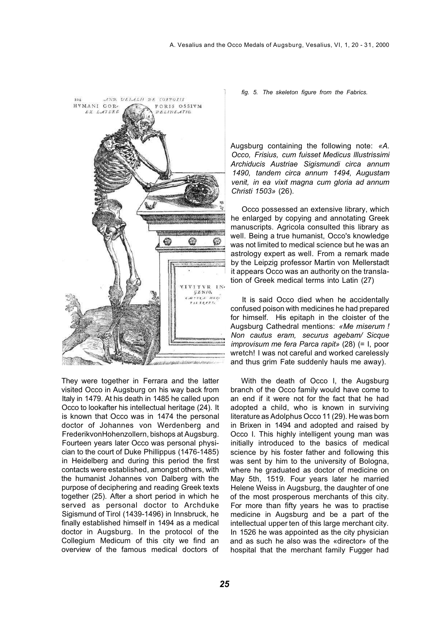

They were together in Ferrara and the latter visited Occo in Augsburg on his way back from Italy in 1479. At his death in 1485 he called upon Occo to lookafter his intellectual heritage (24). It is known that Occo was in 1474 the personal doctor of Johannes von Werdenberg and FrederikvonHohenzollern, bishops at Augsburg. Fourteen years later Occo was personal physician to the court of Duke Phillippus (1476-1485) in Heidelberg and during this period the first contacts were established, amongst others, with the humanist Johannes von Dalberg with the purpose of deciphering and reading Greek texts together (25). After a short period in which he served as personal doctor to Archduke Sigismund of Tirol (1439-1496) in Innsbruck, he finally established himself in 1494 as a medical doctor in Augsburg. In the protocol of the Collegium Medicum of this city we find an overview of the famous medical doctors of

*fig. 5. The skeleton figure from the Fabrics.* 

Augsburg containing the following note: *«A. Occo, Frisius, cum fuisset Medicus lllustrissimi Archiducis Austriae Sigismundi circa annum 1490, tandem circa annum 1494, Augustam venit, in ea vixit magna cum gloria ad annum Christi 1503»* (26).

Occo possessed an extensive library, which he enlarged by copying and annotating Greek manuscripts. Agricola consulted this library as well. Being a true humanist, Occo's knowledge was not limited to medical science but he was an astrology expert as well. From a remark made by the Leipzig professor Martin von Mellerstadt it appears Occo was an authority on the translation of Greek medical terms into Latin (27)

It is said Occo died when he accidentally confused poison with medicines he had prepared for himself. His epitaph in the cloister of the Augsburg Cathedral mentions: *«Me miserum ! Non cautus eram, securus agebam/ Sicque improvisum me fera Parca rapit»* (28) (= I, poor wretch! I was not careful and worked carelessly and thus grim Fate suddenly hauls me away).

With the death of Occo I, the Augsburg branch of the Occo family would have come to an end if it were not for the fact that he had adopted a child, who is known in surviving literature as Adolphus Occo 11 (29). He was born in Brixen in 1494 and adopted and raised by Occo I. This highly intelligent young man was initially introduced to the basics of medical science by his foster father and following this was sent by him to the university of Bologna, where he graduated as doctor of medicine on May 5th, 1519. Four years later he married Helene Weiss in Augsburg, the daughter of one of the most prosperous merchants of this city. For more than fifty years he was to practise medicine in Augsburg and be a part of the intellectual upper ten of this large merchant city. In 1526 he was appointed as the city physician and as such he also was the «director» of the hospital that the merchant family Fugger had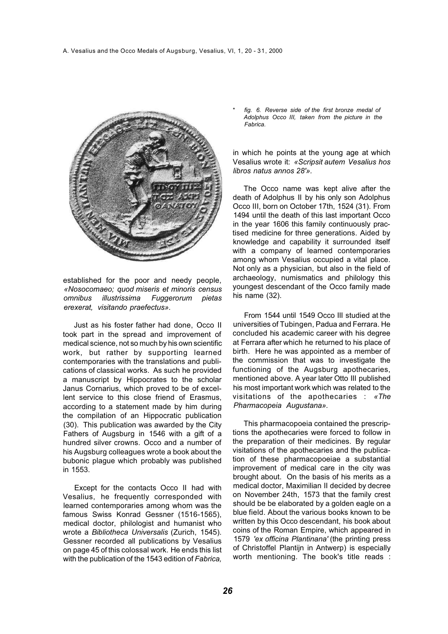

established for the poor and needy people, *«Nosocomaeo; quod miseris et minoris census omnibus illustrissima Fuggerorum pietas erexerat, visitando praefectus».* 

Just as his foster father had done, Occo II took part in the spread and improvement of medical science, not so much by his own scientific work, but rather by supporting learned contemporaries with the translations and publications of classical works. As such he provided a manuscript by Hippocrates to the scholar Janus Cornarius, which proved to be of excellent service to this close friend of Erasmus, according to a statement made by him during the compilation of an Hippocratic publication (30). This publication was awarded by the City Fathers of Augsburg in 1546 with a gift of a hundred silver crowns. Occo and a number of his Augsburg colleagues wrote a book about the bubonic plague which probably was published in 1553.

Except for the contacts Occo II had with Vesalius, he frequently corresponded with learned contemporaries among whom was the famous Swiss Konrad Gessner (1516-1565), medical doctor, philologist and humanist who wrote a *Bibliotheca Universalis* (Zurich, 1545). Gessner recorded all publications by Vesalius on page 45 of this colossal work. He ends this list with the publication of the 1543 edition of *Fabrica,*  \* *fig. 6. Reverse side of the first bronze medal of Adolphus Occo III, taken from the picture in the Fabrica.*

in which he points at the young age at which Vesalius wrote it: *«Scripsit autem Vesalius hos libros natus annos 28'».* 

The Occo name was kept alive after the death of Adolphus II by his only son Adolphus Occo III, born on October 17th, 1524 (31). From 1494 until the death of this last important Occo in the year 1606 this family continuously practised medicine for three generations. Aided by knowledge and capability it surrounded itself with a company of learned contemporaries among whom Vesalius occupied a vital place. Not only as a physician, but also in the field of archaeology, numismatics and philology this youngest descendant of the Occo family made his name (32).

From 1544 until 1549 Occo III studied at the universities of Tubingen, Padua and Ferrara. He concluded his academic career with his degree at Ferrara after which he returned to his place of birth. Here he was appointed as a member of the commission that was to investigate the functioning of the Augsburg apothecaries, mentioned above. A year later Otto III published his most important work which was related to the visitations of the apothecaries : *«The Pharmacopeia Augustana».* 

This pharmacopoeia contained the prescriptions the apothecaries were forced to follow in the preparation of their medicines. By regular visitations of the apothecaries and the publication of these pharmacopoeiae a substantial improvement of medical care in the city was brought about. On the basis of his merits as a medical doctor, Maximilian II decided by decree on November 24th, 1573 that the family crest should be be elaborated by a golden eagle on a blue field. About the various books known to be written by this Occo descendant, his book about coins of the Roman Empire, which appeared in 1579 *'ex officina Plantinana'* (the printing press of Christoffel Plantijn in Antwerp) is especially worth mentioning. The book's title reads :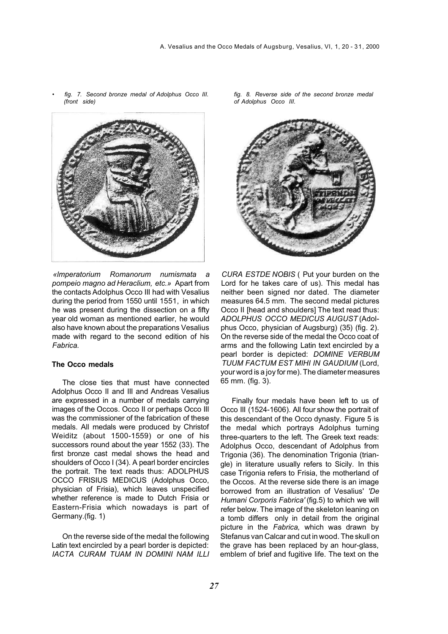

• *fig. 7. Second bronze medal of Adolphus Occo III. (front side)* 

*«lmperatorium Romanorum numismata a pompeio magno ad Heraclium, etc.»* Apart from the contacts Adolphus Occo III had with Vesalius during the period from 1550 until 1551, in which he was present during the dissection on a fifty year old woman as mentioned earlier, he would also have known about the preparations Vesalius made with regard to the second edition of his *Fabrica.*

### **The Occo medals**

The close ties that must have connected Adolphus Occo II and III and Andreas Vesalius are expressed in a number of medals carrying images of the Occos. Occo II or perhaps Occo III was the commissioner of the fabrication of these medals. All medals were produced by Christof Weiditz (about 1500-1559) or one of his successors round about the year 1552 (33). The first bronze cast medal shows the head and shoulders of Occo I (34). A pearl border encircles the portrait. The text reads thus: ADOLPHUS OCCO FRISIUS MEDICUS (Adolphus Occo, physician of Frisia), which leaves unspecified whether reference is made to Dutch Frisia or Eastern-Frisia which nowadays is part of Germany.(fig. 1)

On the reverse side of the medal the following Latin text encircled by a pearl border is depicted: *IACTA CURAM TUAM IN DOMINI NAM ILLI*  *fig. 8. Reverse side of the second bronze medal of Adolphus Occo III.* 



*CURA ESTDE NOBIS* ( Put your burden on the Lord for he takes care of us). This medal has neither been signed nor dated. The diameter measures 64.5 mm. The second medal pictures Occo II [head and shoulders] The text read thus: *ADOLPHUS OCCO MEDICUS AUGUST* (Adolphus Occo, physician of Augsburg) (35) (fig. 2). On the reverse side of the medal the Occo coat of arms and the following Latin text encircled by a pearl border is depicted: *DOMINE VERBUM TUUM FACTUM EST MIHI IN GAUDIUM* (Lord, your word is a joy for me). The diameter measures 65 mm. (fig. 3).

Finally four medals have been left to us of Occo III (1524-1606). All four show the portrait of this descendant of the Occo dynasty. Figure 5 is the medal which portrays Adolphus turning three-quarters to the left. The Greek text reads: Adolphus Occo, descendant of Adolphus from Trigonia (36). The denomination Trigonia (triangle) in literature usually refers to Sicily. In this case Trigonia refers to Frisia, the motherland of the Occos. At the reverse side there is an image borrowed from an illustration of Vesalius' *'De Humani Corporis Fabrica'* (fig.5) to which we will refer below. The image of the skeleton leaning on a tomb differs only in detail from the original picture in the *Fabrica,* which was drawn by Stefanus van Calcar and cut in wood. The skull on the grave has been replaced by an hour-glass, emblem of brief and fugitive life. The text on the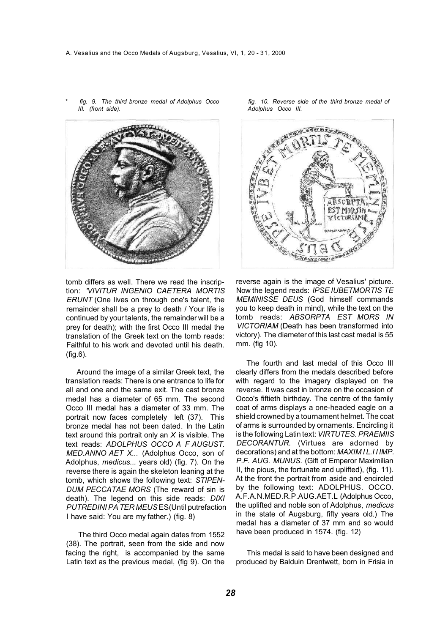- 
- \* *fig. 9. The third bronze medal of Adolphus Occo III. (front side).*

tomb differs as well. There we read the inscription: *'VIVITUR INGENIO CAETERA MORTIS ERUNT* (One lives on through one's talent, the remainder shall be a prey to death / Your life is continued by your talents, the remainder will be a prey for death); with the first Occo III medal the translation of the Greek text on the tomb reads: Faithful to his work and devoted until his death. (fig.6).

Around the image of a similar Greek text, the translation reads: There is one entrance to life for all and one and the same exit. The cast bronze medal has a diameter of 65 mm. The second Occo III medal has a diameter of 33 mm. The portrait now faces completely left (37). This bronze medal has not been dated. In the Latin text around this portrait only an *X* is visible. The text reads: *ADOLPHUS OCCO A F AUGUST. MED.ANNO AET X...* (Adolphus Occo, son of Adolphus, *medicus...* years old) (fig. 7). On the reverse there is again the skeleton leaning at the tomb, which shows the following text: *STIPEN-DUM PECCATAE MORS* (The reward of sin is death). The legend on this side reads: *DIXI PUTREDINI PA TER MEUS* ES(Until putrefaction I have said: You are my father.) (fig. 8)

The third Occo medal again dates from 1552 (38). The portrait, seen from the side and now facing the right, is accompanied by the same Latin text as the previous medal, (fig 9). On the *fig. 10. Reverse side of the third bronze medal of Adolphus Occo III.* 



reverse again is the image of Vesalius' picture. Now the legend reads: *IPSE IUBETMORTIS TE MEMINISSE DEUS* (God himself commands you to keep death in mind), while the text on the tomb reads: *ABSORPTA EST MORS IN VICTORIAM* (Death has been transformed into victory). The diameter of this last cast medal is 55 mm. (fig 10).

The fourth and last medal of this Occo III clearly differs from the medals described before with regard to the imagery displayed on the reverse. It was cast in bronze on the occasion of Occo's fiftieth birthday. The centre of the family coat of arms displays a one-headed eagle on a shield crowned by a tournament helmet. The coat of arms is surrounded by ornaments. Encircling it is the following Latin text: *VIRTUTES. PRAEMIIS DECORANTUR.* (Virtues are adorned by decorations) and at the bottom: *MAXIM I L.I I IMP. P.F. AUG. MUNUS.* (Gift of Emperor Maximilian II, the pious, the fortunate and uplifted), (fig. 11). At the front the portrait from aside and encircled by the following text: ADOLPHUS. OCCO. A.F.A.N.MED.R.P.AUG.AET.L (Adolphus Occo, the uplifted and noble son of Adolphus, *medicus*  in the state of Augsburg, fifty years old.) The medal has a diameter of 37 mm and so would have been produced in 1574. (fig. 12)

This medal is said to have been designed and produced by Balduin Drentwett, born in Frisia in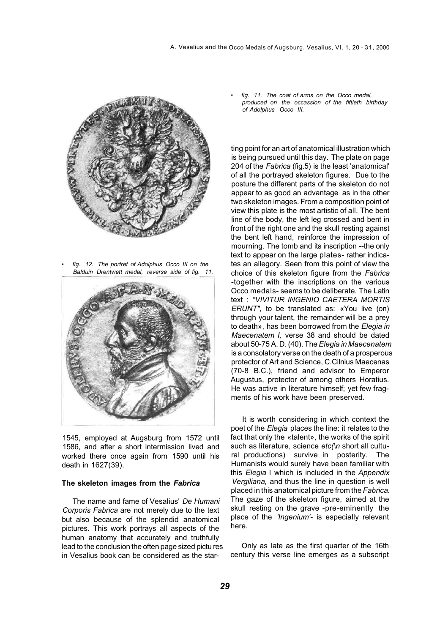

• *fig. 12. The portret of Adolphus Occo III on the Balduin Drentwett medal, reverse side of fig. 11.* 



1545, employed at Augsburg from 1572 until 1586, and after a short intermission lived and worked there once again from 1590 until his death in 1627(39).

#### **The skeleton images from the** *Fabrica*

The name and fame of Vesalius' *De Humani Corporis Fabrica* are not merely due to the text but also because of the splendid anatomical pictures. This work portrays all aspects of the human anatomy that accurately and truthfully lead to the conclusion the often page sized pictu res in Vesalius book can be considered as the star• *fig. 11. The coat of arms on the Occo medal, produced on the occassion of the fiftieth birthday of Adolphus Occo III.* 

ting point for an art of anatomical illustration which is being pursued until this day. The plate on page 204 of the *Fabrica* (fig.5) is the least 'anatomical' of all the portrayed skeleton figures. Due to the posture the different parts of the skeleton do not appear to as good an advantage as in the other two skeleton images. From a composition point of view this plate is the most artistic of all. The bent line of the body, the left leg crossed and bent in front of the right one and the skull resting against the bent left hand, reinforce the impression of mourning. The tomb and its inscription --the only text to appear on the large plates- rather indicates an allegory. Seen from this point of view the choice of this skeleton figure from the *Fabrica*  -together with the inscriptions on the various Occo medals- seems to be deliberate. The Latin text : *"VIVITUR INGENIO CAETERA MORTIS ERUNT",* to be translated as: «You live (on) through your talent, the remainder will be a prey to death», has been borrowed from the *Elegia in Maecenatem I,* verse 38 and should be dated about 50-75 A. D. (40). The *Elegia in Maecenatem*  is a consolatory verse on the death of a prosperous protector of Art and Science, C.Cilnius Maecenas (70-8 B.C.), friend and advisor to Emperor Augustus, protector of among others Horatius. He was active in literature himself; yet few fragments of his work have been preserved.

It is worth considering in which context the poet of the *Elegia* places the line: it relates to the fact that only the «talent», the works of the spirit such as literature, science *etc(\n* short all cultural productions) survive in posterity. The Humanists would surely have been familiar with this *Elegia* I which is included in the *Appendix Vergiliana,* and thus the line in question is well placed in this anatomical picture from the *Fabrica.*  The gaze of the skeleton figure, aimed at the skull resting on the grave -pre-eminently the place of the *'Ingenium'-* is especially relevant here.

Only as late as the first quarter of the 16th century this verse line emerges as a subscript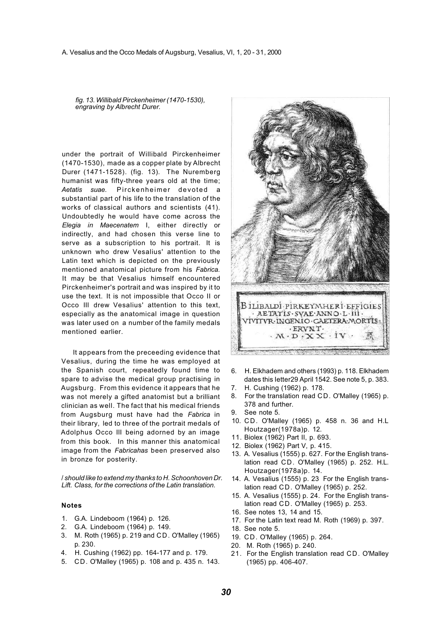*fig. 13. Willibald Pirckenheimer (1470-1530), engraving by Albrecht Durer.* 

under the portrait of Willibald Pirckenheimer (1470-1530), made as a copper plate by Albrecht Durer (1471-1528). (fig. 13). The Nuremberg humanist was fifty-three years old at the time; *Aetatis suae.* Pirckenheimer devoted a substantial part of his life to the translation of the works of classical authors and scientists (41). Undoubtedly he would have come across the *Elegia in Maecenatem* I, either directly or indirectly, and had chosen this verse line to serve as a subscription to his portrait. It is unknown who drew Vesalius' attention to the Latin text which is depicted on the previously mentioned anatomical picture from his *Fabrica.*  It may be that Vesalius himself encountered Pirckenheimer's portrait and was inspired by it to use the text. It is not impossible that Occo II or Occo III drew Vesalius' attention to this text, especially as the anatomical image in question was later used on a number of the family medals mentioned earlier.

It appears from the preceeding evidence that Vesalius, during the time he was employed at the Spanish court, repeatedly found time to spare to advise the medical group practising in Augsburg. From this evidence it appears that he was not merely a gifted anatomist but a brilliant clinician as well. The fact that his medical friends from Augsburg must have had the *Fabrica* in their library, led to three of the portrait medals of Adolphus Occo III being adorned by an image from this book. In this manner this anatomical image from the *Fabricahas* been preserved also in bronze for posterity.

/ *should like to extend my thanks to H. Schoonhoven Dr. Lift. Class, for the corrections of the Latin translation.* 

#### **Notes**

- 1. G.A. Lindeboom (1964) p. 126.
- 2. G.A. Lindeboom (1964) p. 149.
- 3. M. Roth (1965) p. 219 and CD. O'Malley (1965) p. 230.
- 4. H. Cushing (1962) pp. 164-177 and p. 179.
- 5. CD. O'Malley (1965) p. 108 and p. 435 n. 143.



- 6. H. Elkhadem and others (1993) p. 118. Elkhadem dates this Ietter29 April 1542. See note 5, p. 383.
- 7. H. Cushing (1962) p. 178.
- 8. For the translation read CD. O'Malley (1965) p. 378 and further.
- 9. See note 5.
- 10. CD. O'Malley (1965) p. 458 n. 36 and H.L Houtzager(1978a)p. 12.
- 11. Biolex (1962) Part II, p. 693.
- 12. Biolex (1962) Part V, p. 415.
- 13. A. Vesalius (1555) p. 627. For the English translation read CD. O'Malley (1965) p. 252. H.L. Houtzager(1978a)p. 14.
- 14. A. Vesalius (1555) p. 23 For the English translation read CD. O'Malley (1965) p. 252.
- 15. A. Vesalius (1555) p. 24. For the English translation read CD. O'Malley (1965) p. 253.
- 16. See notes 13, 14 and 15.
- 17. For the Latin text read M. Roth (1969) p. 397.
- 18. See note 5.
- 19. CD. O'Malley (1965) p. 264.
- 20. M. Roth (1965) p. 240.
- 21. For the English translation read CD. O'Malley (1965) pp. 406-407.